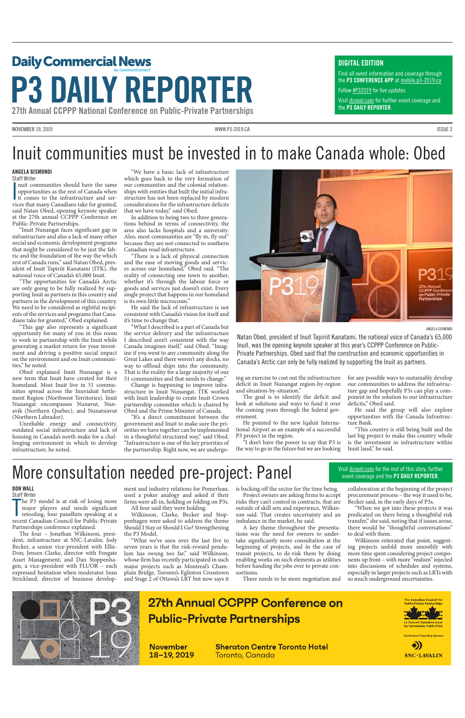NOVEMBER 19, 2019 [WWW.P3-2019.CA](http://www.p3-2019.ca) ISSUE 2

## Daily Commercial News by ConstructConnect® **P3 DAILY REPORTER**

27th Annual CCPPP National Conference on Public-Private Partnerships

## Inuit communities must be invested in to make Canada whole: Obed

## More consultation needed pre-project: Panel

#### ANGELA GISMONDI

Staff Writer

Inuit communities should have the same<br>opportunities as the rest of Canada when<br>it comes to the infrastructure and ser-<br>ition the state of the sernuit communities should have the same opportunities as the rest of Canada when vices that many Canadians take for granted, said Natan Obed, opening keynote speaker at the 27th annual CCPPP Conference on Public-Private Partnerships.

"Inuit Nunangat faces significant gap in infrastructure and also a lack of many other social and economic development programs that might be considered to be just the fabric and the foundation of the way the which rest of Canada runs," said Natan Obed, president of Inuit Tapiriit Kanatami (ITK), the national voice of Canada's 65,000 Inuit.

"The opportunities for Canada's Arctic are only going to be fully realized by supporting Inuit as partners in this country and partners in the development of this country. We need to be considered as rightful recipients of the services and programs that Canadians take for granted," Obed explained.

"This gap also represents a significant opportunity for many of you in this room to work in partnership with the Inuit while generating a market return for your investment and driving a positive social impact on the environment and on Inuit communities," he noted.

Obed explained Inuit Nunangat is a new term that Inuit have created for their homeland. Most Inuit live in 51 communities spread across the Inuvialuit Settlement Region (Northwest Territories). Inuit Nunangat encompasses Nunavut, Nunavik (Northern Quebec), and Nunatsiavut (Northern Labrador).

Unreliable energy and connectivity, outdated social infrastructure and lack of housing in Canada's north make for a challenging environment in which to develop infrastructure, he noted.

"We have a basic lack of infrastructure which goes back to the very formation of our communities and the colonial relationships with entities that built the initial infrastructure has not been replaced by modern considerations for the infrastructure deficits that we have today," said Obed.

In addition to being two to three generations behind in terms of connectivity, the area also lacks hospitals and a university. Also, most communities are "fly in, fly out" because they are not connected to southern Canadian road infrastructure.

The P3 model is at risk of losing more<br>major players and needs significant<br>retooling, four panellists speaking at a<br>recent Canadian Council for Public-Private he P3 model is at risk of losing more major players and needs significant retooling, four panellists speaking at a

"There is a lack of physical connection and the ease of moving goods and services across our homeland," Obed said. "The reality of connecting one town to another, whether it's through the labour force or goods and services just doesn't exist. Every single project that happens in our homeland is its own little microcosm."

He said the lack of infrastructure is not consistent with Canada's vision for itself and it's time to change that.

"What I described is a part of Canada but the service delivery and the infrastructure I described aren't consistent with the way Canada imagines itself," said Obed. "Imagine if you went to any community along the Great Lakes and there weren't any docks, no way to offload ships into the community. That is the reality for a large majority of our 51 communities and that needs to change."

> there would be "thoughtful conversations to deal with them.

Change is happening to improve infrastructure in Inuit Nunangat. ITK worked with Inuit leadership to create Inuit-Crown partnership committee which is chaired by Obed and the Prime Minister of Canada.

"It's a direct commitment between the government and Inuit to make sure the priorities we have together can be implemented in a thoughtful structured way," said Obed. "Infrastructure is one of the key priorities of the partnership. Right now, we are undergoVisit [dcnonl.com](http://www.dailycommercialnews.com/campaigns/p3/) for further event coverage and the P3 DAILY REPORTER.

ing an exercise to cost out the infrastructure deficit in Inuit Nunangat region-by-region and situation-by-situation."

The goal is to identify the deficit and look at solutions and ways to fund it over the coming years through the federal government.

He pointed to the new Iqaluit International Airport as an example of a successful P3 project in the region.

"I don't have the power to say that P3 is the way to go in the future but we are looking for any possible ways to sustainably develop our communities to address the infrastructure gap and hopefully P3s can play a component in the solution to our infrastructure deficits," Obed said.

He said the group will also explore opportunities with the Canada Infrastructure Bank.

"This country is still being built and the last big project to make this country whole is the investment in infrastructure within Inuit land," he said.

#### DON WALL Staff Writer

Partnerships conference explained.

The four – Jonathan Wilkinson, president, infrastructure at SNC-Lavalin; Jody Becker, a senior vice-president with Ellis-Don; Jensen Clarke, director with Fengate Asset Management; and Dan Stoppenhagen, a vice-president with FLUOR – each expressed hesitation when moderator Sean Strickland, director of business development and industry relations for Pomerleau, used a poker analogy and asked if their firms were all-in, holding or folding on P3s.

All four said they were holding. Wilkinson, Clarke, Becker and Stoppenhagen were asked to address the theme Should I Stay or Should I Go? Strengthening

the P3 Model.

"What we've seen over the last five to seven years is that the risk-reward pendulum has swung too far," said Wilkinson, whose firm has recently participated in such major projects such as Montreal's Champlain Bridge, Toronto's Eglinton Crosstown and Stage 2 of Ottawa's LRT but now says it

is backing off the sector for the time being.

Project owners are asking firms to accept risks they can't control in contracts, that are outside of skill sets and experience, Wilkinson said. That creates uncertainty and an

imbalance in the market, he said. A key theme throughout the presenta-

tions was the need for owners to undertake significantly more consultation at the beginning of projects, and in the case of transit projects, to de-risk them by doing enabling works on such elements as utilities before handing the jobs over to private consortiums.

There needs to be more negotiation and

collaboration at the beginning of the project procurement process – the way it used to be, Becker said, in the early days of P3s.

"When we got into these projects it was predicated on there being a thoughtful risk transfer," she said, noting that if issues arose,

Wilkinson reiterated that point, suggesting projects unfold more smoothly with more time spent considering project components up front – with more "realism" injected into discussions of schedules and systems, especially in larger projects such as LRTs with so much underground uncertainties.



## **27th Annual CCPPP Conference on**

**Public-Private Partnerships** 

**November** 18-19, 2019 **Sheraton Centre Toronto Hotel** <u>Toronto, Canada</u>







Natan Obed, president of Inuit Tapiriit Kanatami, the national voice of Canada's 65,000 Inuit, was the opening keynote speaker at this year's CCPPP Conference on Public-Private Partnerships. Obed said that the construction and economic opportunities in Canada's Arctic can only be fully realized by supporting the Inuit as partners.

#### DIGITAL EDITION

Find all event information and coverage through the P3 CONFERENCE APP at [mobile.p3-2019.ca](http://mobile.p3-2018.ca)

Follow [#P3201](https://twitter.com/hashtag/p32019)9 for live updates.

#### Visit dcnonl.com for the rest of this story, further event coverage and the P3 DAILY REPORTER.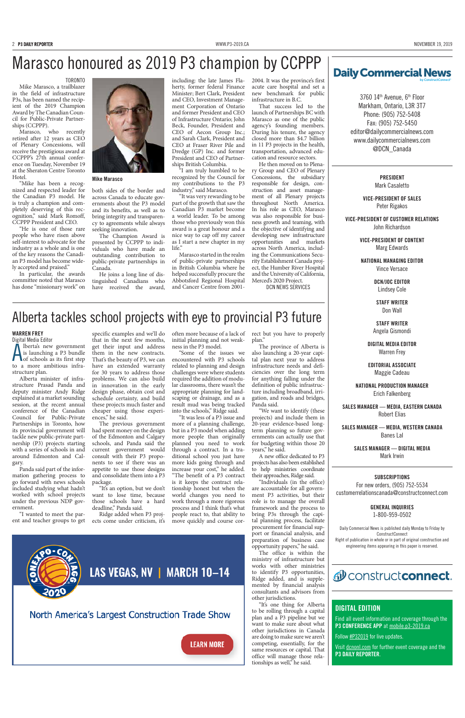## Marasco honoured as 2019 P3 champion by CCPPP  $\sqrt{\frac{2}{\text{Daily Commercial News}}}$

3760 14th Avenue, 6th Floor Markham, Ontario, L3R 3T7 Phone: (905) 752-5408 Fax: (905) 752-5450 editor@dailycommercialnews.com www.[dailycommercialnews.com](http://www.dailycommercialnews.com) [@DCN\\_Canada](https://twitter.com/DCN_Canada)

> PRESIDENT Mark Casaletto

VICE-PRESIDENT OF SALES Peter Rigakos

VICE-PRESIDENT OF CUSTOMER RELATIONS John Richardson

> VICE-PRESIDENT OF CONTENT Marg Edwards

NATIONAL MANAGING EDITOR Vince Versace

> DCN/JOC EDITOR Lindsey Cole

STAFF WRITER Don Wall

STAFF WRITER Angela Gismondi

DIGITAL MEDIA EDITOR Warren Frey

EDITORIAL ASSOCIATE Maggie Cadeau

Find all event information and coverage through the P3 CONFERENCE APP at [mobile.p3-2019.ca](http://mobile.p3-2018.ca)

NATIONAL PRODUCTION MANAGER Erich Falkenberg

SALES MANAGER — MEDIA, EASTERN CANADA Robert Elias

SALES MANAGER — MEDIA, WESTERN CANADA Banes Lal

> SALES MANAGER — DIGITAL MEDIA Mark Irwin

#### SUBSCRIPTIONS

For new orders, (905) 752-5534 customerrelationscanada@constructconnect.com

> GENERAL INQUIRIES 1-800-959-0502

Daily Commercial News is published daily Monday to Friday by ConstructConnect

Right of publication in whole or in part of original construction and engineering items appearing in this paper is reserved.

#### d<sup>0</sup> constructconnect.

#### DIGITAL EDITION

Follow [#P32019](https://twitter.com/hashtag/p32019) for live updates.

Visit [dcnonl.com](http://www.dailycommercialnews.com/campaigns/p3-conference/) for further event coverage and the P3 DAILY REPORTER.

He joins a long line of distinguished Canadians who have received the award,

#### TORONTO

Mike Marasco, a trailblazer in the field of infrastructure P3s, has been named the recipient of the 2019 Champion Award by The Canadian Council for Public-Private Partnerships (CCPPP).

Marasco, who recently retired after 12 years as CEO of Plenary Concessions, will receive the prestigious award at CCPPP's 27th annual conference on Tuesday, November 19 at the Sheraton Centre Toronto Hotel.

"Mike has been a recognized and respected leader for the Canadian P3 model. He is truly a champion and completely deserving of this recognition," said Mark Romoff, CCPPP President and CEO.

"He is one of those rare people who have risen above self-interest to advocate for the industry as a whole and is one of the key reasons the Canadian P3 model has become widely accepted and praised."

In particular, the awards committee noted that Marasco has done "missionary work" on



both sides of the border and across Canada to educate governments about the P3 model and its benefits, as well as to bring integrity and transparency to agreements while always seeking innovation.

The Champion Award is presented by CCPPP to individuals who have made an outstanding contribution to public-private partnerships in Canada.

including: the late James Flaherty, former federal Finance Minister; Bert Clark, President and CEO, Investment Management Corporation of Ontario and former President and CEO of Infrastructure Ontario; John Beck, Founder, President and CEO of Aecon Group Inc.; and Sarah Clark, President and CEO at Fraser River Pile and Dredge (GP) Inc. and former President and CEO of Partnerships British Columbia.

"I am truly humbled to be recognized by the Council for my contributions to the P3 industry," said Marasco.

"It was very rewarding to be part of the growth that saw the Canadian P3 market become a world leader. To be among those who previously won this award is a great honour and a nice way to cap off my career as I start a new chapter in my life."

Marasco started in the realm of public-private partnerships in British Columbia where he helped successfully procure the Abbotsford Regional Hospital and Cancer Centre from 20012004. It was the province's first acute care hospital and set a new benchmark for public infrastructure in B.C.

That success led to the launch of Partnerships BC with Marasco as one of the public agency's founding members. During his tenure, the agency closed more than \$4.7 billion in 11 P3 projects in the health, transportation, advanced education and resource sectors.

He then moved on to Plenary Group and CEO of Plenary Concessions, the subsidiary responsible for design, construction and asset management of all Plenary projects throughout North America. In his role as CEO, Marasco was also responsible for business growth and teaming, with the objective of identifying and developing new infrastructure opportunities and markets across North America, including the Communications Security Establishment Canada project, the Humber River Hospital and the University of California, Merced's 2020 Project. DCN NEWS SERVICES

## by Construct Connect®

#### Mike Marasco

Alberta tackles school projects with eye to provincial P3 future

#### WARREN FREY

Digital Media Editor Alberta's new government<br>
is launching a P3 bundle<br>
of schools as its first step lberta's new government is launching a P3 bundle to a more ambitious infrastructure plan.

Alberta minister of infrastructure Prasad Panda and deputy minister Andy Ridge explained at a market sounding session, at the recent annual conference of the Canadian Council for Public-Private Partnerships in Toronto, how its provincial government will tackle new public-private partnership (P3) projects starting with a series of schools in and around Edmonton and Calgary.

Panda said part of the information gathering process to go forward with news schools included studying what hadn't worked with school projects under the previous NDP government.

"I wanted to meet the parent and teacher groups to get

specific examples and we'll do that in the next few months, get their input and address them in the new contracts. That's the beauty of P3, we can have an extended warranty for 30 years to address those problems. We can also build in innovation in the early design phase, obtain cost and schedule certainty, and build these projects much faster and cheaper using those experiences," he said.

The previous government had spent money on the design of the Edmonton and Calgary schools, and Panda said the current government would consult with their P3 proponents to see if there was an appetite to use those designs and consolidate them into a P3 package.

"It's an option, but we don't want to lose time, because those schools have a hard deadline," Panda said.

Ridge added when P3 projects come under criticism, it's

often more because of a lack of initial planning and not weakness in the P3 model.

"Some of the issues we encountered with P3 schools related to planning and design challenges were where students required the addition of modular classrooms, there wasn't the appropriate planning for landscaping or drainage, and as a result mud was being tracked into the schools," Ridge said.

"It was less of a P3 issue and more of a planning challenge, but in a P3 model when adding more people than originally planned you need to work through a contract. In a traditional school you just have more kids going through and increase your cost," he added. "The benefit of a P3 contract is it keeps the contract relationship honest but when the world changes you need to work through a more rigorous process and I think that's what people react to, that ability to move quickly and course correct but you have to properly plan."

The province of Alberta is also launching a 20-year capital plan next year to address infrastructure needs and deficiencies over the long term for anything falling under the definition of public infrastructure including broadband, irrigation, and roads and bridges, Panda said.

"We want to identify (these projects) and include them in 20-year evidence-based longterm planning so future governments can actually use that for budgeting within those 20 years," he said.

A new office dedicated to P3 projects has also been established to help ministries coordinate their approaches, Ridge said.

"Individuals (in the office) are accountable for all government P3 activities, but their role is to manage the overall framework and the process to bring P3s through the capital planning process, facilitate procurement for financial support or financial analysis, and preparation of business case opportunity papers," he said. The office is within the ministry of infrastructure but works with other ministries to identify P3 opportunities, Ridge added, and is supplemented by financial analysis consultants and advisors from other jurisdictions. "It's one thing for Alberta to be rolling through a capital plan and a P3 pipeline but we want to make sure about what other jurisdictions in Canada are doing to make sure we aren't competing, essentially, for the same resources or capital. That office will manage those relationships as well," he said.



## LAS VEGAS, NV | MARCH 10-14

#### North America's Largest Construction Trade Show

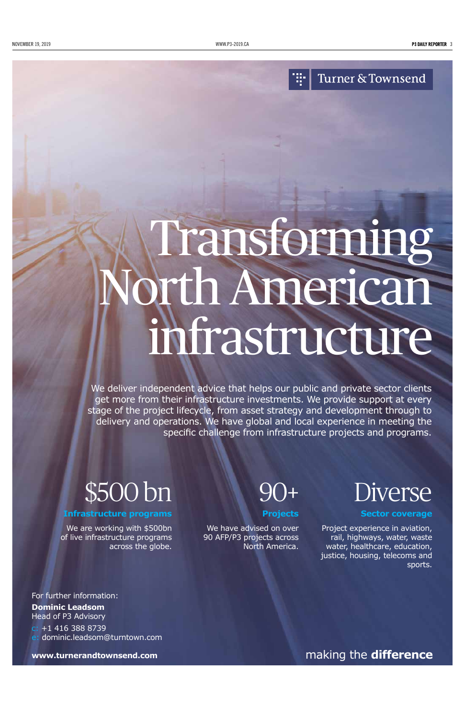### Turner & Townsend

Ŧ.

#### making the **difference**

# Transforming North American infrastructure

We deliver independent advice that helps our public and private sector clients get more from their infrastructure investments. We provide support at every stage of the project lifecycle, from asset strategy and development through to delivery and operations. We have global and local experience in meeting the specific challenge from infrastructure projects and programs.

For further information: **Dominic Leadsom** Head of P3 Advisory c: +1 416 388 8739 e: dominic.leadsom@turntown.com

**www.turnerandtownsend.com**



**Infrastructure programs**

We are working with \$500bn

of live infrastructure programs across the globe.

90+

**Projects**

We have advised on over 90 AFP/P3 projects across North America. Diverse

**Sector coverage**

Project experience in aviation, rail, highways, water, waste water, healthcare, education, justice, housing, telecoms and sports.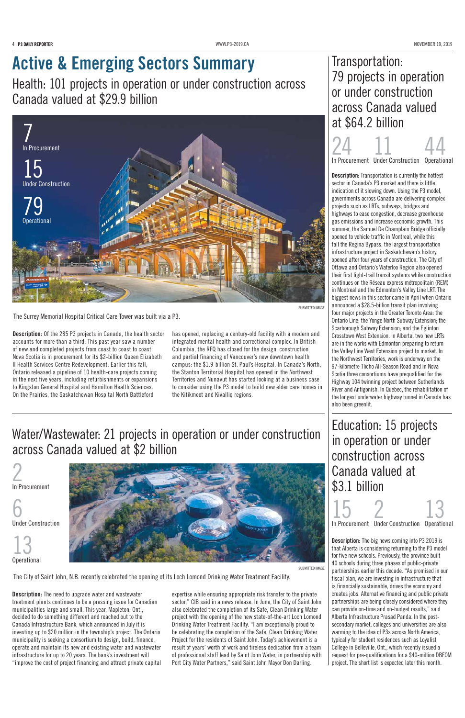4 P3 DAILY REPORTER MANUSING MANUSING THE SAME REPORTED THE SAME PROVEMBER 19, 2019

## Active & Emerging Sectors Summary

Health: 101 projects in operation or under construction across Canada valued at \$29.9 billion

Transportation: 79 projects in operation or under construction across Canada valued at \$64.2 billion

## Education: 15 projects in operation or under construction across Canada valued at \$3.1 billion

Description: Of the 285 P3 projects in Canada, the health sector accounts for more than a third. This past year saw a number of new and completed projects from coast to coast to coast. Nova Scotia is in procurement for its \$2-billion Queen Elizabeth II Health Services Centre Redevelopment. Earlier this fall, Ontario released a pipeline of 10 health-care projects coming in the next five years, including refurbishments or expansions to Kingston General Hospital and Hamilton Health Sciences. On the Prairies, the Saskatchewan Hospital North Battleford

has opened, replacing a century-old facility with a modern and integrated mental health and correctional complex. In British Columbia, the RFQ has closed for the design, construction and partial financing of Vancouver's new downtown health campus: the \$1.9-billion St. Paul's Hospital. In Canada's North, the Stanton Territorial Hospital has opened in the Northwest Territories and Nunavut has started looking at a business case to consider using the P3 model to build new elder care homes in the Kitikmeot and Kivalliq regions.

> Description: The big news coming into P3 2019 is that Alberta is considering returning to the P3 model for five new schools. Previously, the province built 40 schools during three phases of public-private partnerships earlier this decade. "As promised in our fiscal plan, we are investing in infrastructure that is financially sustainable, drives the economy and creates jobs. Alternative financing and public private partnerships are being closely considered where they can provide on-time and on-budget results," said Alberta Infrastructure Prasad Panda. In the postsecondary market, colleges and universities are also warming to the idea of P3s across North America, typically for student residences such as Loyalist College in Belleville, Ont., which recently issued a request for pre-qualifications for a \$40-million DBFOM project. The short list is expected later this month.

> **Description:** Transportation is currently the hottest sector in Canada's P3 market and there is little indication of it slowing down. Using the P3 model, governments across Canada are delivering complex projects such as LRTs, subways, bridges and highways to ease congestion, decrease greenhouse gas emissions and increase economic growth. This summer, the Samuel De Champlain Bridge officially opened to vehicle traffic in Montreal, while this fall the Regina Bypass, the largest transportation infrastructure project in Saskatchewan's history, opened after four years of construction. The City of Ottawa and Ontario's Waterloo Region also opened their first light-trail transit systems while construction continues on the Réseau express métropolitain (REM) in Montreal and the Edmonton's Valley Line LRT. The biggest news in this sector came in April when Ontario announced a \$28.5-billion transit plan involving four major projects in the Greater Toronto Area: the Ontario Line; the Yonge North Subway Extension; the Scarborough Subway Extension; and the Eglinton Crosstown West Extension. In Alberta, two new LRTs are in the works with Edmonton preparing to return the Valley Line West Extension project to market. In the Northwest Territories, work is underway on the 97-kilometre Tlıcho All-Season Road and in Nova Scotia three consortiums have prequalified for the Highway 104 twinning project between Sutherlands River and Antigonish. In Quebec, the rehabilitation of the longest underwater highway tunnel in Canada has also been greenlit.

15 In Procurement 2 Under Construction 13 Operational

24 11 44

In Procurement Under Construction Operational

Description: The need to upgrade water and wastewater treatment plants continues to be a pressing issue for Canadian municipalities large and small. This year, Mapleton, Ont., decided to do something different and reached out to the Canada Infrastructure Bank, which announced in July it is investing up to \$20 million in the township's project. The Ontario municipality is seeking a consortium to design, build, finance, operate and maintain its new and existing water and wastewater infrastructure for up to 20 years. The bank's investment will "improve the cost of project financing and attract private capital

expertise while ensuring appropriate risk transfer to the private sector," CIB said in a news release. In June, the City of Saint John also celebrated the completion of its Safe, Clean Drinking Water project with the opening of the new state-of-the-art Loch Lomond Drinking Water Treatment Facility. "I am exceptionally proud to be celebrating the completion of the Safe, Clean Drinking Water Project for the residents of Saint John. Today's achievement is a result of years' worth of work and tireless dedication from a team of professional staff lead by Saint John Water, in partnership with Port City Water Partners," said Saint John Mayor Don Darling.

2 In Procurement

6 Under Construction





## Water/Wastewater: 21 projects in operation or under construction across Canada valued at \$2 billion

The Surrey Memorial Hospital Critical Care Tower was built via a P3.

SUBMITTED IMAGE



The City of Saint John, N.B. recently celebrated the opening of its Loch Lomond Drinking Water Treatment Facility.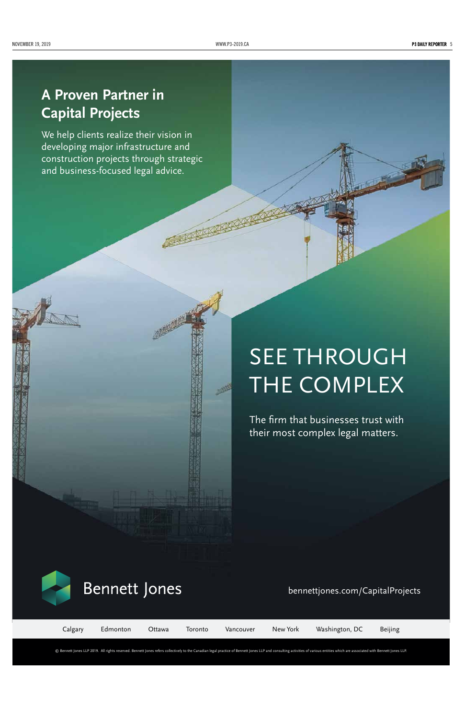#### NOVEMBER 19, 2019 [WWW.P3-2019.CA](http://www.p3-2019.ca) 5

© Bennett Jones LLP 2019. All rights reserved. Bennett Jones refers collectively to the Canadian legal practice of Bennett Jones LLP and consulting activities of various entities which are associated with Bennett Jones LLP.

The firm that businesses trust with their most complex legal matters.



## **Bennett Jones**

#### bennettjones.com/CapitalProjects

We help clients realize their vision in developing major infrastructure and construction projects through strategic and business-focused legal advice.

Calgary Edmonton Ottawa Toronto Vancouver New York Washington, DC Beijing

## SEE THROUGH THE COMPLEX

## **A Proven Partner in Capital Projects**